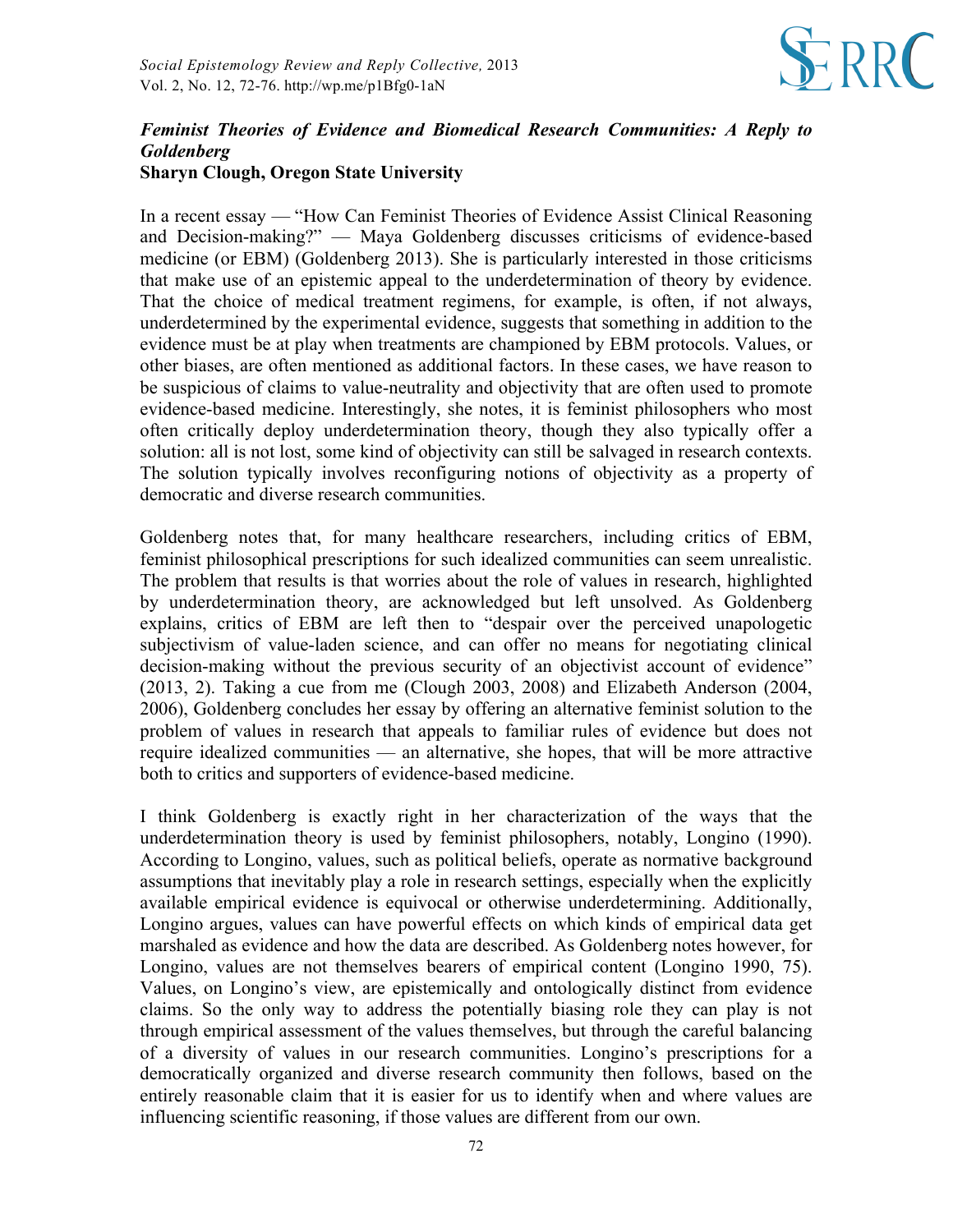

## *Feminist Theories of Evidence and Biomedical Research Communities: A Reply to Goldenberg* **Sharyn Clough, Oregon State University**

In a recent essay — "How Can Feminist Theories of Evidence Assist Clinical Reasoning and Decision-making?" — Maya Goldenberg discusses criticisms of evidence-based medicine (or EBM) (Goldenberg 2013). She is particularly interested in those criticisms that make use of an epistemic appeal to the underdetermination of theory by evidence. That the choice of medical treatment regimens, for example, is often, if not always, underdetermined by the experimental evidence, suggests that something in addition to the evidence must be at play when treatments are championed by EBM protocols. Values, or other biases, are often mentioned as additional factors. In these cases, we have reason to be suspicious of claims to value-neutrality and objectivity that are often used to promote evidence-based medicine. Interestingly, she notes, it is feminist philosophers who most often critically deploy underdetermination theory, though they also typically offer a solution: all is not lost, some kind of objectivity can still be salvaged in research contexts. The solution typically involves reconfiguring notions of objectivity as a property of democratic and diverse research communities.

Goldenberg notes that, for many healthcare researchers, including critics of EBM, feminist philosophical prescriptions for such idealized communities can seem unrealistic. The problem that results is that worries about the role of values in research, highlighted by underdetermination theory, are acknowledged but left unsolved. As Goldenberg explains, critics of EBM are left then to "despair over the perceived unapologetic subjectivism of value-laden science, and can offer no means for negotiating clinical decision-making without the previous security of an objectivist account of evidence" (2013, 2). Taking a cue from me (Clough 2003, 2008) and Elizabeth Anderson (2004, 2006), Goldenberg concludes her essay by offering an alternative feminist solution to the problem of values in research that appeals to familiar rules of evidence but does not require idealized communities — an alternative, she hopes, that will be more attractive both to critics and supporters of evidence-based medicine.

I think Goldenberg is exactly right in her characterization of the ways that the underdetermination theory is used by feminist philosophers, notably, Longino (1990). According to Longino, values, such as political beliefs, operate as normative background assumptions that inevitably play a role in research settings, especially when the explicitly available empirical evidence is equivocal or otherwise underdetermining. Additionally, Longino argues, values can have powerful effects on which kinds of empirical data get marshaled as evidence and how the data are described. As Goldenberg notes however, for Longino, values are not themselves bearers of empirical content (Longino 1990, 75). Values, on Longino's view, are epistemically and ontologically distinct from evidence claims. So the only way to address the potentially biasing role they can play is not through empirical assessment of the values themselves, but through the careful balancing of a diversity of values in our research communities. Longino's prescriptions for a democratically organized and diverse research community then follows, based on the entirely reasonable claim that it is easier for us to identify when and where values are influencing scientific reasoning, if those values are different from our own.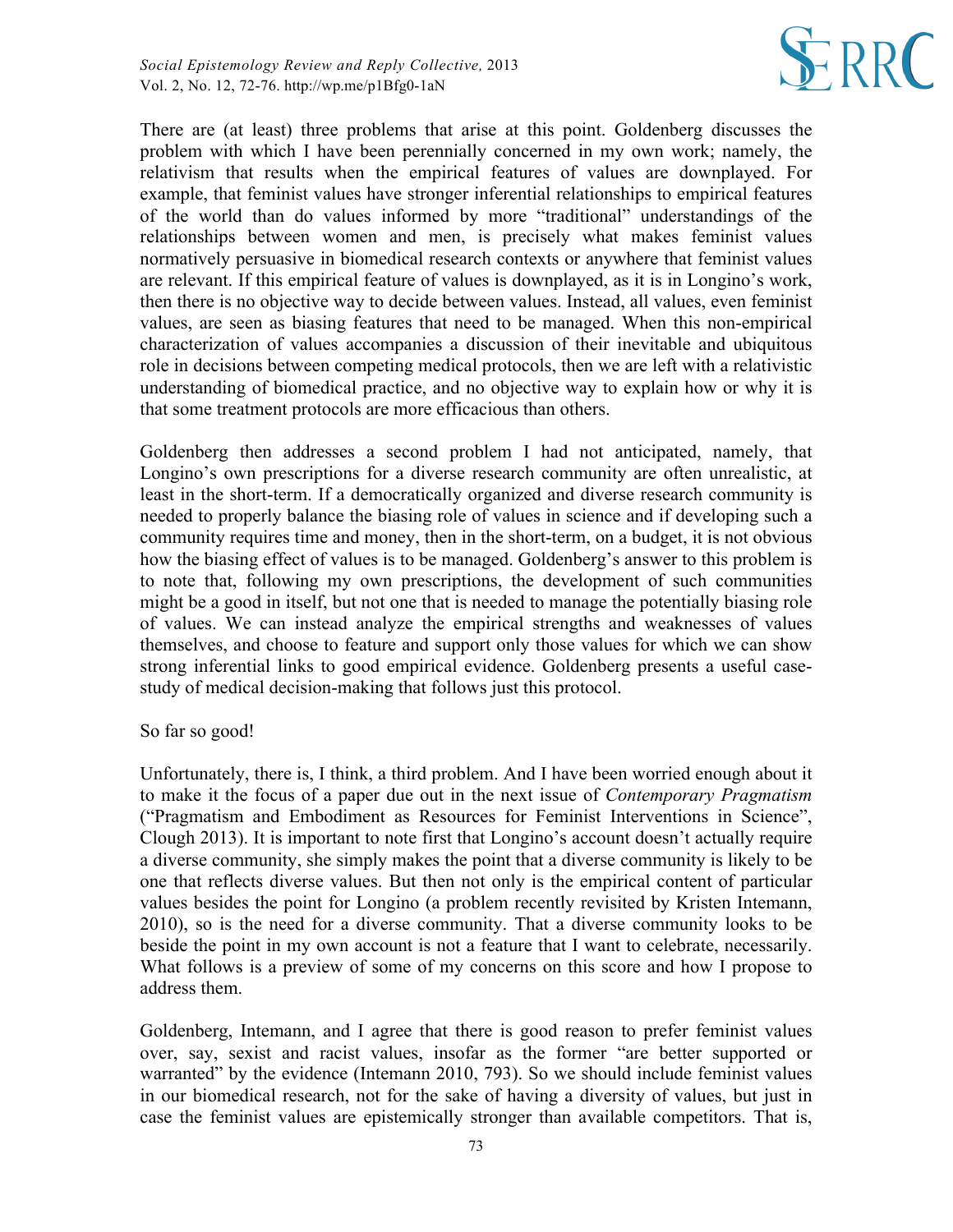

There are (at least) three problems that arise at this point. Goldenberg discusses the problem with which I have been perennially concerned in my own work; namely, the relativism that results when the empirical features of values are downplayed. For example, that feminist values have stronger inferential relationships to empirical features of the world than do values informed by more "traditional" understandings of the relationships between women and men, is precisely what makes feminist values normatively persuasive in biomedical research contexts or anywhere that feminist values are relevant. If this empirical feature of values is downplayed, as it is in Longino's work, then there is no objective way to decide between values. Instead, all values, even feminist values, are seen as biasing features that need to be managed. When this non-empirical characterization of values accompanies a discussion of their inevitable and ubiquitous role in decisions between competing medical protocols, then we are left with a relativistic understanding of biomedical practice, and no objective way to explain how or why it is that some treatment protocols are more efficacious than others.

Goldenberg then addresses a second problem I had not anticipated, namely, that Longino's own prescriptions for a diverse research community are often unrealistic, at least in the short-term. If a democratically organized and diverse research community is needed to properly balance the biasing role of values in science and if developing such a community requires time and money, then in the short-term, on a budget, it is not obvious how the biasing effect of values is to be managed. Goldenberg's answer to this problem is to note that, following my own prescriptions, the development of such communities might be a good in itself, but not one that is needed to manage the potentially biasing role of values. We can instead analyze the empirical strengths and weaknesses of values themselves, and choose to feature and support only those values for which we can show strong inferential links to good empirical evidence. Goldenberg presents a useful casestudy of medical decision-making that follows just this protocol.

## So far so good!

Unfortunately, there is, I think, a third problem. And I have been worried enough about it to make it the focus of a paper due out in the next issue of *Contemporary Pragmatism* ("Pragmatism and Embodiment as Resources for Feminist Interventions in Science", Clough 2013). It is important to note first that Longino's account doesn't actually require a diverse community, she simply makes the point that a diverse community is likely to be one that reflects diverse values. But then not only is the empirical content of particular values besides the point for Longino (a problem recently revisited by Kristen Intemann, 2010), so is the need for a diverse community. That a diverse community looks to be beside the point in my own account is not a feature that I want to celebrate, necessarily. What follows is a preview of some of my concerns on this score and how I propose to address them.

Goldenberg, Intemann, and I agree that there is good reason to prefer feminist values over, say, sexist and racist values, insofar as the former "are better supported or warranted" by the evidence (Intemann 2010, 793). So we should include feminist values in our biomedical research, not for the sake of having a diversity of values, but just in case the feminist values are epistemically stronger than available competitors. That is,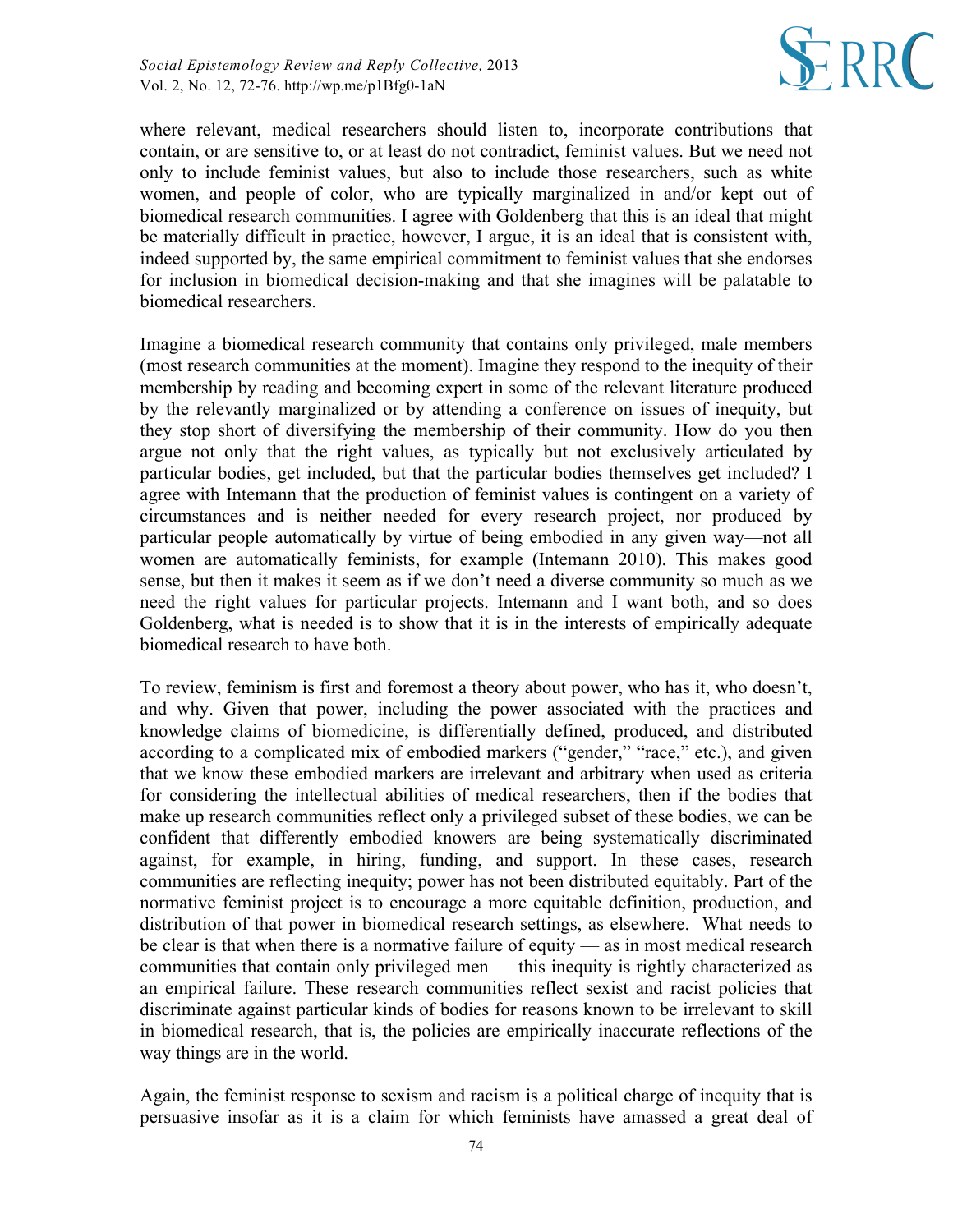

where relevant, medical researchers should listen to, incorporate contributions that contain, or are sensitive to, or at least do not contradict, feminist values. But we need not only to include feminist values, but also to include those researchers, such as white women, and people of color, who are typically marginalized in and/or kept out of biomedical research communities. I agree with Goldenberg that this is an ideal that might be materially difficult in practice, however, I argue, it is an ideal that is consistent with, indeed supported by, the same empirical commitment to feminist values that she endorses for inclusion in biomedical decision-making and that she imagines will be palatable to biomedical researchers.

Imagine a biomedical research community that contains only privileged, male members (most research communities at the moment). Imagine they respond to the inequity of their membership by reading and becoming expert in some of the relevant literature produced by the relevantly marginalized or by attending a conference on issues of inequity, but they stop short of diversifying the membership of their community. How do you then argue not only that the right values, as typically but not exclusively articulated by particular bodies, get included, but that the particular bodies themselves get included? I agree with Intemann that the production of feminist values is contingent on a variety of circumstances and is neither needed for every research project, nor produced by particular people automatically by virtue of being embodied in any given way—not all women are automatically feminists, for example (Intemann 2010). This makes good sense, but then it makes it seem as if we don't need a diverse community so much as we need the right values for particular projects. Intemann and I want both, and so does Goldenberg, what is needed is to show that it is in the interests of empirically adequate biomedical research to have both.

To review, feminism is first and foremost a theory about power, who has it, who doesn't, and why. Given that power, including the power associated with the practices and knowledge claims of biomedicine, is differentially defined, produced, and distributed according to a complicated mix of embodied markers ("gender," "race," etc.), and given that we know these embodied markers are irrelevant and arbitrary when used as criteria for considering the intellectual abilities of medical researchers, then if the bodies that make up research communities reflect only a privileged subset of these bodies, we can be confident that differently embodied knowers are being systematically discriminated against, for example, in hiring, funding, and support. In these cases, research communities are reflecting inequity; power has not been distributed equitably. Part of the normative feminist project is to encourage a more equitable definition, production, and distribution of that power in biomedical research settings, as elsewhere. What needs to be clear is that when there is a normative failure of equity — as in most medical research communities that contain only privileged men — this inequity is rightly characterized as an empirical failure. These research communities reflect sexist and racist policies that discriminate against particular kinds of bodies for reasons known to be irrelevant to skill in biomedical research, that is, the policies are empirically inaccurate reflections of the way things are in the world.

Again, the feminist response to sexism and racism is a political charge of inequity that is persuasive insofar as it is a claim for which feminists have amassed a great deal of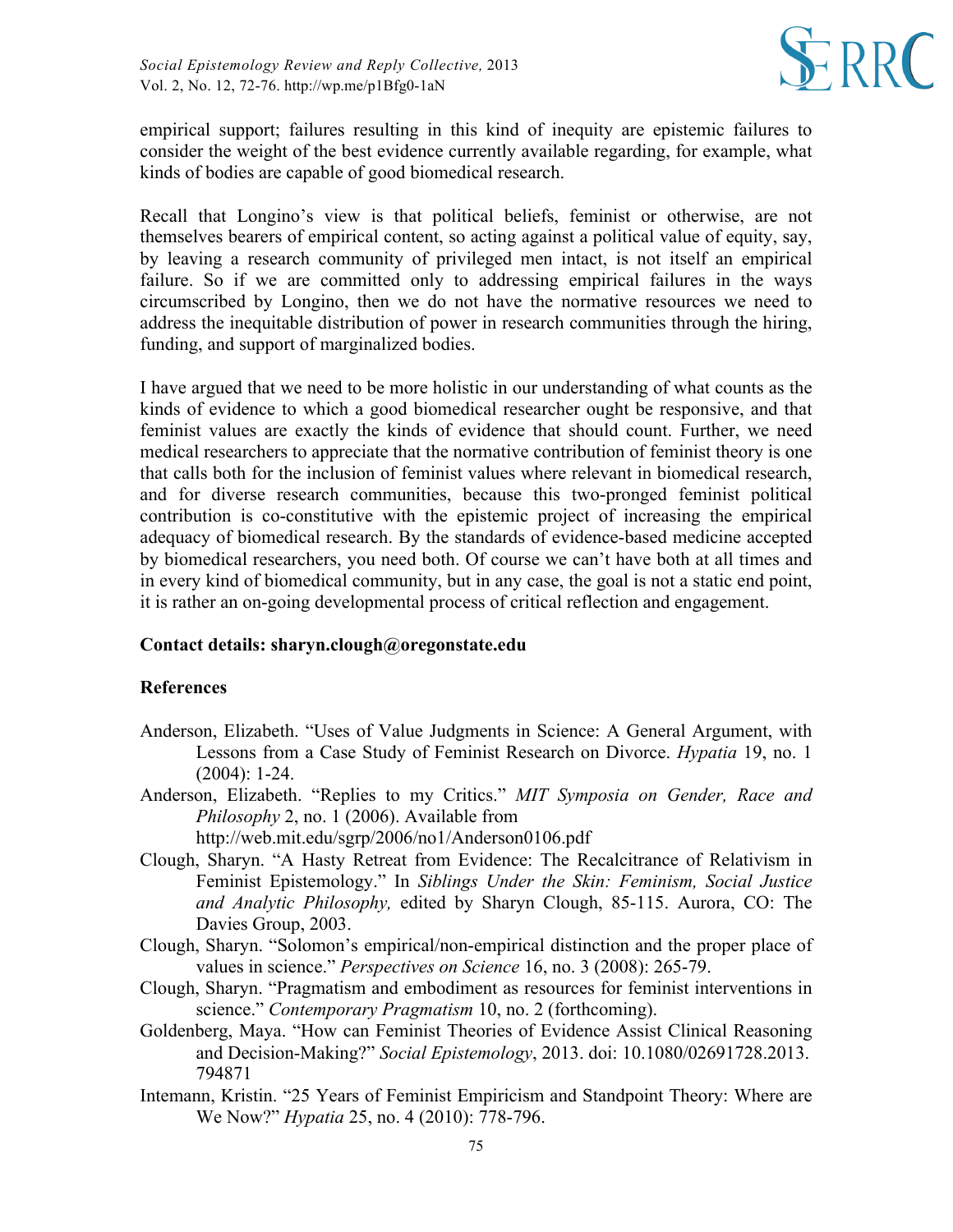

empirical support; failures resulting in this kind of inequity are epistemic failures to consider the weight of the best evidence currently available regarding, for example, what kinds of bodies are capable of good biomedical research.

Recall that Longino's view is that political beliefs, feminist or otherwise, are not themselves bearers of empirical content, so acting against a political value of equity, say, by leaving a research community of privileged men intact, is not itself an empirical failure. So if we are committed only to addressing empirical failures in the ways circumscribed by Longino, then we do not have the normative resources we need to address the inequitable distribution of power in research communities through the hiring, funding, and support of marginalized bodies.

I have argued that we need to be more holistic in our understanding of what counts as the kinds of evidence to which a good biomedical researcher ought be responsive, and that feminist values are exactly the kinds of evidence that should count. Further, we need medical researchers to appreciate that the normative contribution of feminist theory is one that calls both for the inclusion of feminist values where relevant in biomedical research, and for diverse research communities, because this two-pronged feminist political contribution is co-constitutive with the epistemic project of increasing the empirical adequacy of biomedical research. By the standards of evidence-based medicine accepted by biomedical researchers, you need both. Of course we can't have both at all times and in every kind of biomedical community, but in any case, the goal is not a static end point, it is rather an on-going developmental process of critical reflection and engagement.

## **Contact details: sharyn.clough@oregonstate.edu**

## **References**

- Anderson, Elizabeth. "Uses of Value Judgments in Science: A General Argument, with Lessons from a Case Study of Feminist Research on Divorce. *Hypatia* 19, no. 1 (2004): 1-24.
- Anderson, Elizabeth. "Replies to my Critics." *MIT Symposia on Gender, Race and Philosophy* 2, no. 1 (2006). Available from

http://web.mit.edu/sgrp/2006/no1/Anderson0106.pdf

- Clough, Sharyn. "A Hasty Retreat from Evidence: The Recalcitrance of Relativism in Feminist Epistemology." In *Siblings Under the Skin: Feminism, Social Justice and Analytic Philosophy,* edited by Sharyn Clough, 85-115. Aurora, CO: The Davies Group, 2003.
- Clough, Sharyn. "Solomon's empirical/non-empirical distinction and the proper place of values in science." *Perspectives on Science* 16, no. 3 (2008): 265-79.
- Clough, Sharyn. "Pragmatism and embodiment as resources for feminist interventions in science." *Contemporary Pragmatism* 10, no. 2 (forthcoming).
- Goldenberg, Maya. "How can Feminist Theories of Evidence Assist Clinical Reasoning and Decision-Making?" *Social Epistemology*, 2013. doi: 10.1080/02691728.2013. 794871
- Intemann, Kristin. "25 Years of Feminist Empiricism and Standpoint Theory: Where are We Now?" *Hypatia* 25, no. 4 (2010): 778-796.